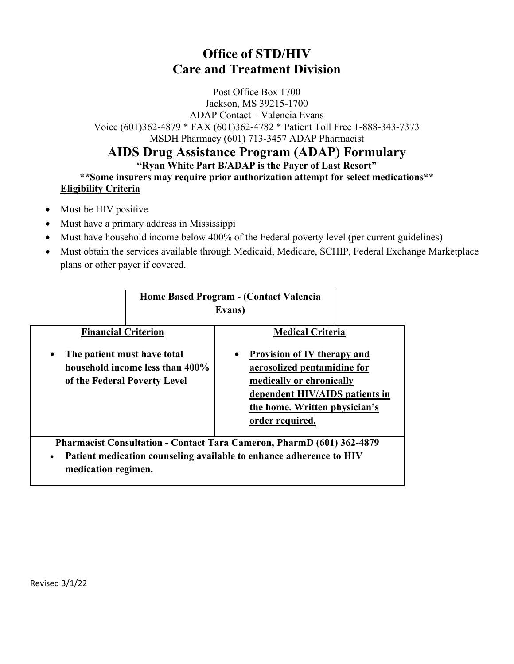## **Office of STD/HIV Care and Treatment Division**

Post Office Box 1700 Jackson, MS 39215-1700 ADAP Contact – Valencia Evans Voice (601)362-4879 \* FAX (601)362-4782 \* Patient Toll Free 1-888-343-7373 MSDH Pharmacy (601) 713-3457 ADAP Pharmacist

## **AIDS Drug Assistance Program (ADAP) Formulary**

## **"Ryan White Part B/ADAP is the Payer of Last Resort"**

**\*\*Some insurers may require prior authorization attempt for select medications\*\* Eligibility Criteria**

- Must be HIV positive
- Must have a primary address in Mississippi
- Must have household income below 400% of the Federal poverty level (per current guidelines)
- Must obtain the services available through Medicaid, Medicare, SCHIP, Federal Exchange Marketplace plans or other payer if covered.

|                                          | Home Based Program - (Contact Valencia                                                                                                       | Evans)    |                                                                                                                                                                                     |  |
|------------------------------------------|----------------------------------------------------------------------------------------------------------------------------------------------|-----------|-------------------------------------------------------------------------------------------------------------------------------------------------------------------------------------|--|
| <b>Financial Criterion</b>               |                                                                                                                                              |           | <b>Medical Criteria</b>                                                                                                                                                             |  |
| The patient must have total<br>$\bullet$ | household income less than 400%<br>of the Federal Poverty Level                                                                              | $\bullet$ | <b>Provision of IV therapy and</b><br>aerosolized pentamidine for<br>medically or chronically<br>dependent HIV/AIDS patients in<br>the home. Written physician's<br>order required. |  |
| $\bullet$<br>medication regimen.         | Pharmacist Consultation - Contact Tara Cameron, PharmD (601) 362-4879<br>Patient medication counseling available to enhance adherence to HIV |           |                                                                                                                                                                                     |  |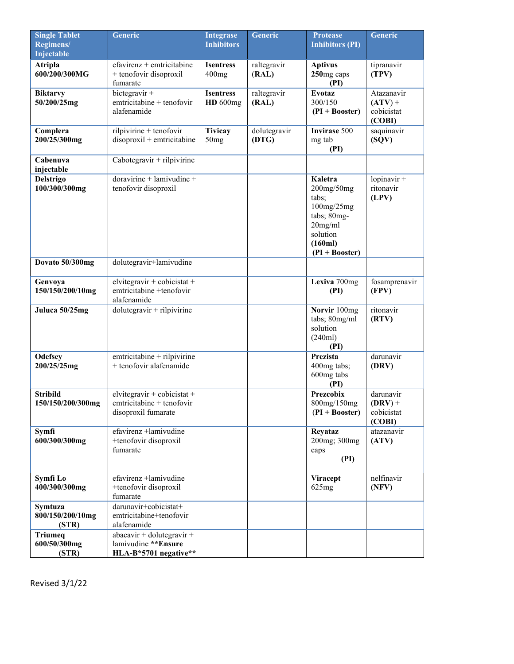| <b>Single Tablet</b><br>Regimens/           | <b>Generic</b>                                                                     | <b>Integrase</b><br><b>Inhibitors</b> | <b>Generic</b>        | <b>Protease</b><br><b>Inhibitors (PI)</b>                                                                          | <b>Generic</b>                                  |
|---------------------------------------------|------------------------------------------------------------------------------------|---------------------------------------|-----------------------|--------------------------------------------------------------------------------------------------------------------|-------------------------------------------------|
| Injectable                                  |                                                                                    |                                       |                       |                                                                                                                    |                                                 |
| <b>Atripla</b><br>600/200/300MG             | $efavirenz +$ emtricitabine<br>+ tenofovir disoproxil<br>fumarate                  | <b>Isentress</b><br>400mg             | raltegravir<br>(RAL)  | <b>Aptivus</b><br>250mg caps<br>(PI)                                                                               | tipranavir<br>(TPV)                             |
| <b>Biktarvy</b><br>50/200/25mg              | bictegravir +<br>emtricitabine + tenofovir<br>alafenamide                          | <b>Isentress</b><br>$HD\ 600mg$       | raltegravir<br>(RAL)  | <b>Evotaz</b><br>300/150<br>$(PI + Booster)$                                                                       | Atazanavir<br>$(ATV) +$<br>cobicistat<br>(COBI) |
| Complera<br>200/25/300mg                    | rilpivirine + tenofovir<br>disoproxil + emtricitabine                              | <b>Tivicay</b><br>50mg                | dolutegravir<br>(DTG) | <b>Invirase 500</b><br>mg tab<br>(PI)                                                                              | saquinavir<br>(SQV)                             |
| Cabenuva<br>injectable                      | $Caboregravit + rilpivirine$                                                       |                                       |                       |                                                                                                                    |                                                 |
| <b>Delstrigo</b><br>100/300/300mg           | $doravirine + laminivudine +$<br>tenofovir disoproxil                              |                                       |                       | Kaletra<br>200mg/50mg<br>tabs;<br>100mg/25mg<br>tabs; 80mg-<br>$20$ mg/ml<br>solution<br>(160ml)<br>(PI + Booster) | lopinavir +<br>ritonavir<br>(LPV)               |
| Dovato 50/300mg                             | dolutegravir+lamivudine                                                            |                                       |                       |                                                                                                                    |                                                 |
| Genvoya<br>150/150/200/10mg                 | elvitegravir + cobicistat +<br>emtricitabine +tenofovir<br>alafenamide             |                                       |                       | Lexiva 700mg<br>(PI)                                                                                               | fosamprenavir<br>(FPV)                          |
| Juluca 50/25mg                              | $d$ olutegravir + rilpivirine                                                      |                                       |                       | Norvir 100mg<br>tabs; 80mg/ml<br>solution<br>(240ml)<br>(PI)                                                       | ritonavir<br>(RTV)                              |
| <b>Odefsey</b><br>200/25/25mg               | emtricitabine + rilpivirine<br>+ tenofovir alafenamide                             |                                       |                       | Prezista<br>400mg tabs;<br>600mg tabs<br>(PI)                                                                      | darunavir<br>(DRV)                              |
| <b>Stribild</b><br>150/150/200/300mg        | $elvitegravir + cobicistat +$<br>$emtricitable + tenofovir$<br>disoproxil fumarate |                                       |                       | <b>Prezcobix</b><br>800mg/150mg<br>$(PI + Booster)$                                                                | darunavir<br>$(DRV) +$<br>cobicistat<br>(COBI)  |
| Symfi<br>600/300/300mg                      | efavirenz +lamivudine<br>+tenofovir disoproxil<br>fumarate                         |                                       |                       | Reyataz<br>200mg; 300mg<br>caps<br>(PI)                                                                            | atazanavir<br>(ATV)                             |
| Symfi Lo<br>400/300/300mg                   | efavirenz +lamivudine<br>+tenofovir disoproxil<br>fumarate                         |                                       |                       | <b>Viracept</b><br>625mg                                                                                           | nelfinavir<br>(NFV)                             |
| <b>Symtuza</b><br>800/150/200/10mg<br>(STR) | darunavir+cobicistat+<br>emtricitabine+tenofovir<br>alafenamide                    |                                       |                       |                                                                                                                    |                                                 |
| <b>Triumeq</b><br>600/50/300mg<br>(STR)     | $abacavir + dolute gravir +$<br>lamivudine **Ensure<br>HLA-B*5701 negative**       |                                       |                       |                                                                                                                    |                                                 |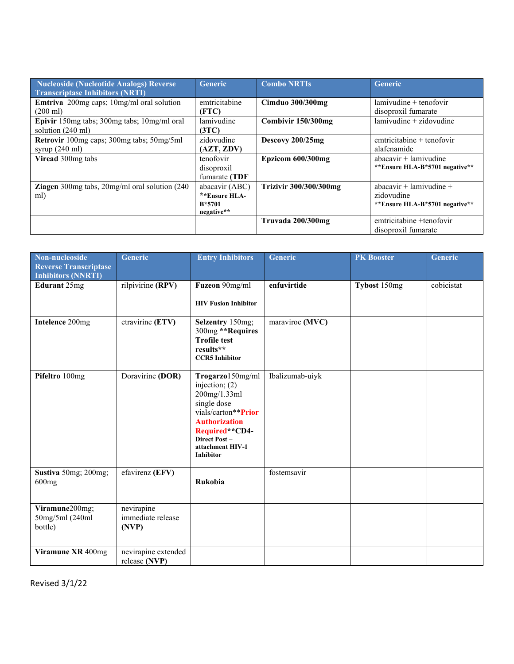| Nucleoside (Nucleotide Analogs) Reverse<br><b>Transcriptase Inhibitors (NRTI)</b> | <b>Generic</b>                                            | <b>Combo NRTIs</b>            | <b>Generic</b>                                                          |
|-----------------------------------------------------------------------------------|-----------------------------------------------------------|-------------------------------|-------------------------------------------------------------------------|
| Emtriva 200mg caps; 10mg/ml oral solution<br>$(200 \text{ ml})$                   | emtricitabine<br>(FTC)                                    | <b>Cimduo 300/300mg</b>       | $l$ amivudine + tenofovir<br>disoproxil fumarate                        |
| Epivir 150mg tabs; 300mg tabs; 10mg/ml oral<br>solution $(240 \text{ ml})$        | lamivudine<br>(3TC)                                       | Combivir 150/300mg            | $l$ amivudine + zidovudine                                              |
| Retrovir 100mg caps; 300mg tabs; 50mg/5ml<br>syrup $(240 \text{ ml})$             | zidovudine<br>(AZT, ZDV)                                  | Descovy 200/25mg              | $emtricitable + tenofovir$<br>alafenamide                               |
| Viread 300mg tabs                                                                 | tenofovir<br>disoproxil<br>fumarate (TDF                  | Epzicom 600/300mg             | $abacavir + lamivudine$<br>**Ensure HLA-B*5701 negative**               |
| <b>Ziagen</b> 300mg tabs, $20$ mg/ml oral solution $(240)$<br>ml)                 | abacavir (ABC)<br>**Ensure HLA-<br>$B*5701$<br>negative** | <b>Trizivir 300/300/300mg</b> | abacavir + lamivudine +<br>zidovudine<br>**Ensure HLA-B*5701 negative** |
|                                                                                   |                                                           | Truvada 200/300mg             | emtricitabine +tenofovir<br>disoproxil fumarate                         |

| Non-nucleoside<br><b>Reverse Transcriptase</b> | <b>Generic</b>                           | <b>Entry Inhibitors</b>                                                                                                                                                                      | <b>Generic</b>  | <b>PK Booster</b> | <b>Generic</b> |
|------------------------------------------------|------------------------------------------|----------------------------------------------------------------------------------------------------------------------------------------------------------------------------------------------|-----------------|-------------------|----------------|
| <b>Inhibitors (NNRTI)</b>                      |                                          |                                                                                                                                                                                              |                 |                   |                |
| Edurant 25mg                                   | rilpivirine (RPV)                        | Fuzeon 90mg/ml                                                                                                                                                                               | enfuvirtide     | Tybost 150mg      | cobicistat     |
|                                                |                                          | <b>HIV Fusion Inhibitor</b>                                                                                                                                                                  |                 |                   |                |
| Intelence 200mg                                | etravirine (ETV)                         | Selzentry 150mg;<br>300mg ** Requires<br><b>Trofile test</b><br>results**<br><b>CCR5</b> Inhibitor                                                                                           | maraviroc (MVC) |                   |                |
| Pifeltro 100mg                                 | Doravirine (DOR)                         | Trogarzo150mg/ml<br>injection; $(2)$<br>200mg/1.33ml<br>single dose<br>vials/carton**Prior<br><b>Authorization</b><br>Required**CD4-<br>Direct Post-<br>attachment HIV-1<br><b>Inhibitor</b> | Ibalizumab-uiyk |                   |                |
| Sustiva 50mg; 200mg;<br>600mg                  | efavirenz (EFV)                          | Rukobia                                                                                                                                                                                      | fostemsavir     |                   |                |
| Viramune200mg;<br>50mg/5ml (240ml<br>bottle)   | nevirapine<br>immediate release<br>(NVP) |                                                                                                                                                                                              |                 |                   |                |
| Viramune XR 400mg                              | nevirapine extended<br>release (NVP)     |                                                                                                                                                                                              |                 |                   |                |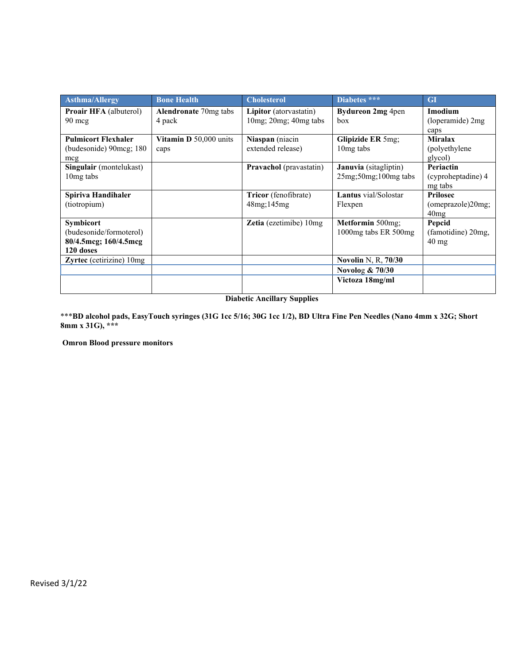| <b>Asthma/Allergy</b>                                                             | <b>Bone Health</b>                     | <b>Cholesterol</b>                              | Diabetes ***                                      | <b>GI</b>                                       |
|-----------------------------------------------------------------------------------|----------------------------------------|-------------------------------------------------|---------------------------------------------------|-------------------------------------------------|
| <b>Proair HFA</b> (albuterol)<br>$90 \text{~mg}$                                  | <b>Alendronate 70mg tabs</b><br>4 pack | Lipitor (atorvastatin)<br>10mg; 20mg; 40mg tabs | Bydureon 2mg 4pen<br>box                          | Imodium<br>(loperamide) 2mg<br>caps             |
| <b>Pulmicort Flexhaler</b><br>(budesonide) 90 mcg; 180<br>mcg                     | Vitamin $D$ 50,000 units<br>caps       | Niaspan (niacin<br>extended release)            | Glipizide ER 5mg;<br>10 <sub>mg</sub> tabs        | <b>Miralax</b><br>(polyethylene)<br>glycol)     |
| Singulair (montelukast)<br>10 <sub>mg tabs</sub>                                  |                                        | Pravachol (pravastatin)                         | Januvia (sitagliptin)<br>$25mg; 50mg; 100mg$ tabs | Periactin<br>(cyproheptadine) 4<br>mg tabs      |
| Spiriva Handihaler<br>(tiotropium)                                                |                                        | Tricor (fenofibrate)<br>48mg;145mg              | <b>Lantus</b> vial/Solostar<br>Flexpen            | <b>Prilosec</b><br>(omeprazole)20mg;<br>40mg    |
| <b>Symbicort</b><br>(budesonide/formoterol)<br>80/4.5mcg; 160/4.5mcg<br>120 doses |                                        | <b>Zetia</b> (ezetimibe) $10mg$                 | Metformin 500mg;<br>1000mg tabs ER 500mg          | Pepcid<br>(famotidine) 20mg,<br>$40 \text{ mg}$ |
| Zyrtec (cetirizine) 10mg                                                          |                                        |                                                 | Novolin N, R, 70/30                               |                                                 |
|                                                                                   |                                        |                                                 | Novolog $& 70/30$                                 |                                                 |
|                                                                                   |                                        |                                                 | Victoza 18mg/ml                                   |                                                 |

**Diabetic Ancillary Supplies**

\*\*\***BD alcohol pads, EasyTouch syringes (31G 1cc 5/16; 30G 1cc 1/2), BD Ultra Fine Pen Needles (Nano 4mm x 32G; Short 8mm x 31G), \*\*\***

 **Omron Blood pressure monitors**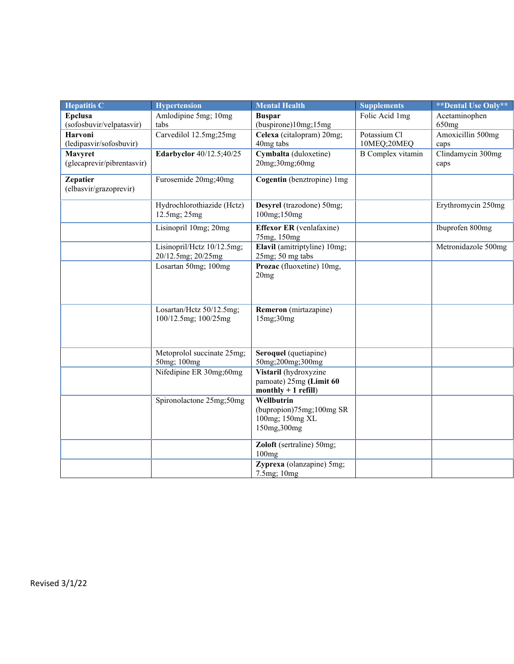| <b>Hepatitis C</b>                        | <b>Hypertension</b>                              | <b>Mental Health</b>                                                      | <b>Supplements</b>          | <b>**Dental Use Only**</b> |
|-------------------------------------------|--------------------------------------------------|---------------------------------------------------------------------------|-----------------------------|----------------------------|
| <b>Epclusa</b>                            | Amlodipine 5mg; 10mg                             | <b>Buspar</b>                                                             | Folic Acid 1mg              | Acetaminophen              |
| (sofosbuvir/velpatasvir)                  | tabs                                             | (buspirone)10mg;15mg                                                      |                             | 650mg                      |
| <b>Harvoni</b><br>(ledipasvir/sofosbuvir) | Carvedilol 12.5mg;25mg                           | Celexa (citalopram) 20mg;<br>40mg tabs                                    | Potassium Cl<br>10MEQ;20MEQ | Amoxicillin 500mg<br>caps  |
| Mavyret<br>(glecaprevir/pibrentasvir)     | Edarbyclor 40/12.5;40/25                         | Cymbalta (duloxetine)<br>20mg;30mg;60mg                                   | <b>B</b> Complex vitamin    | Clindamycin 300mg<br>caps  |
| <b>Zepatier</b><br>(elbasvir/grazoprevir) | Furosemide 20mg;40mg                             | Cogentin (benztropine) 1mg                                                |                             |                            |
|                                           | Hydrochlorothiazide (Hctz)<br>12.5mg; 25mg       | Desyrel (trazodone) 50mg;<br>100mg;150mg                                  |                             | Erythromycin 250mg         |
|                                           | Lisinopril 10mg; 20mg                            | <b>Effexor ER</b> (venlafaxine)<br>75mg, 150mg                            |                             | Ibuprofen 800mg            |
|                                           | Lisinopril/Hctz 10/12.5mg;<br>20/12.5mg; 20/25mg | Elavil (amitriptyline) 10mg;<br>$25mg$ ; 50 mg tabs                       |                             | Metronidazole 500mg        |
|                                           | Losartan 50mg; 100mg                             | Prozac (fluoxetine) 10mg,<br>20mg                                         |                             |                            |
|                                           | Losartan/Hctz 50/12.5mg;<br>100/12.5mg; 100/25mg | Remeron (mirtazapine)<br>15mg;30mg                                        |                             |                            |
|                                           | Metoprolol succinate 25mg;<br>50mg; 100mg        | Seroquel (quetiapine)<br>50mg;200mg;300mg                                 |                             |                            |
|                                           | Nifedipine ER 30mg;60mg                          | Vistaril (hydroxyzine<br>pamoate) 25mg (Limit 60<br>$monthly + 1$ refill) |                             |                            |
|                                           | Spironolactone 25mg;50mg                         | Wellbutrin<br>(bupropion)75mg;100mg SR<br>100mg; 150mg XL<br>150mg, 300mg |                             |                            |
|                                           |                                                  | Zoloft (sertraline) 50mg;<br>100mg                                        |                             |                            |
|                                           |                                                  | Zyprexa (olanzapine) 5mg;<br>7.5mg; 10mg                                  |                             |                            |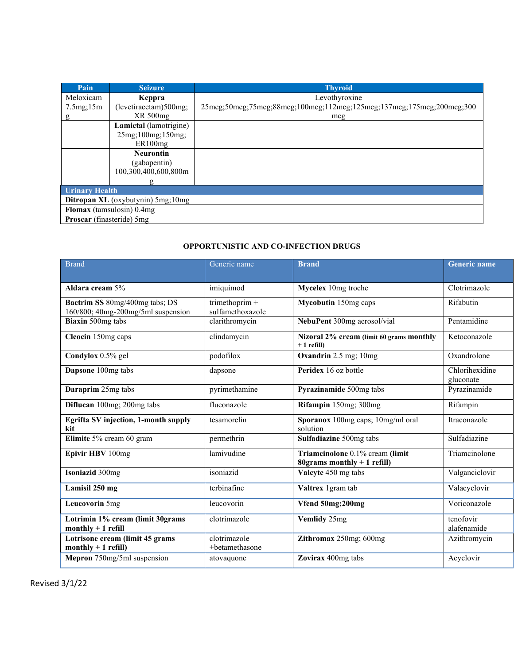| Pain                             | <b>Seizure</b>                           | <b>Thyroid</b>                                                        |
|----------------------------------|------------------------------------------|-----------------------------------------------------------------------|
| Meloxicam                        | Keppra                                   | Levothyroxine                                                         |
| 7.5mg;15m                        | (levetiracetam)500mg;                    | 25mcg;50mcg;75mcg;88mcg;100mcg;112mcg;125mcg;137mcg;175mcg;200mcg;300 |
| g                                | XR 500mg                                 | mcg                                                                   |
|                                  | Lamictal (lamotrigine)                   |                                                                       |
|                                  | 25mg;100mg;150mg;                        |                                                                       |
|                                  | ER100mg                                  |                                                                       |
|                                  | <b>Neurontin</b>                         |                                                                       |
|                                  | (gabapentin)                             |                                                                       |
|                                  | 100,300,400,600,800m                     |                                                                       |
|                                  |                                          |                                                                       |
| <b>Urinary Health</b>            |                                          |                                                                       |
|                                  | <b>Ditropan XL</b> (oxybutynin) 5mg;10mg |                                                                       |
|                                  | Flomax (tamsulosin) 0.4mg                |                                                                       |
| <b>Proscar</b> (finasteride) 5mg |                                          |                                                                       |

## **OPPORTUNISTIC AND CO-INFECTION DRUGS**

| <b>Brand</b>                                            | Generic name     | <b>Brand</b>                                                    | <b>Generic name</b>      |
|---------------------------------------------------------|------------------|-----------------------------------------------------------------|--------------------------|
|                                                         |                  |                                                                 |                          |
| Aldara cream 5%                                         | imiquimod        | Mycelex 10mg troche                                             | Clotrimazole             |
| Bactrim SS 80mg/400mg tabs; DS                          | trimethoprim +   | Mycobutin 150mg caps                                            | Rifabutin                |
| 160/800; 40mg-200mg/5ml suspension                      | sulfamethoxazole |                                                                 |                          |
| Biaxin 500mg tabs                                       | clarithromycin   | NebuPent 300mg aerosol/vial                                     | Pentamidine              |
| Cleocin 150mg caps                                      | clindamycin      | Nizoral 2% cream (limit 60 grams monthly<br>$+1$ refill)        | Ketoconazole             |
| Condylox 0.5% gel                                       | podofilox        | Oxandrin 2.5 mg; 10mg                                           | Oxandrolone              |
| Dapsone 100mg tabs                                      | dapsone          | Peridex 16 oz bottle                                            | Chlorihexidine           |
|                                                         |                  |                                                                 | gluconate                |
| Daraprim 25mg tabs                                      | pyrimethamine    | Pyrazinamide 500mg tabs                                         | Pyrazinamide             |
| Diflucan 100mg; 200mg tabs                              | fluconazole      | Rifampin 150mg; 300mg                                           | Rifampin                 |
| Egrifta SV injection, 1-month supply<br>kit             | tesamorelin      | Sporanox 100mg caps; 10mg/ml oral<br>solution                   | Itraconazole             |
| Elimite 5% cream 60 gram                                | permethrin       | Sulfadiazine 500mg tabs                                         | Sulfadiazine             |
| Epivir HBV 100mg                                        | lamivudine       | Triamcinolone 0.1% cream (limit<br>80grams monthly $+1$ refill) | Triamcinolone            |
| Isoniazid 300mg                                         | isoniazid        | Valcyte 450 mg tabs                                             | Valganciclovir           |
| Lamisil 250 mg                                          | terbinafine      | Valtrex 1 gram tab                                              | Valacyclovir             |
| Leucovorin 5mg                                          | leucovorin       | Vfend 50mg;200mg                                                | Voriconazole             |
| Lotrimin 1% cream (limit 30grams<br>monthly $+1$ refill | clotrimazole     | Vemlidy 25mg                                                    | tenofovir<br>alafenamide |
| Lotrisone cream (limit 45 grams                         | clotrimazole     | Zithromax 250mg; 600mg                                          | Azithromycin             |
| monthly $+1$ refill)                                    | +betamethasone   |                                                                 |                          |
| Mepron 750mg/5ml suspension                             | atovaquone       | Zovirax 400mg tabs                                              | Acyclovir                |
|                                                         |                  |                                                                 |                          |